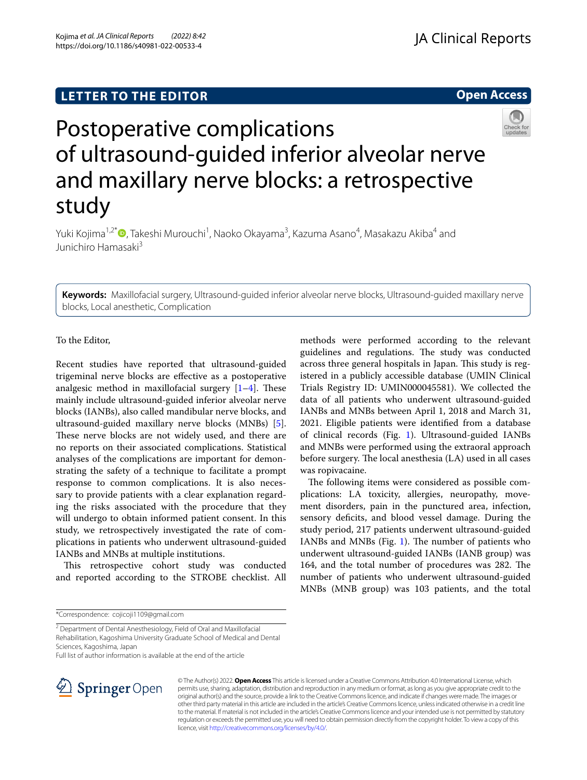# **LETTER TO THE EDITOR**

# **Open Access**



# Postoperative complications of ultrasound-guided inferior alveolar nerve and maxillary nerve blocks: a retrospective study

Yuki Kojima<sup>1[,](http://orcid.org/0000-0001-9645-2148)2\*</sup>®, Takeshi Murouchi<sup>1</sup>, Naoko Okayama<sup>3</sup>, Kazuma Asano<sup>4</sup>, Masakazu Akiba<sup>4</sup> and Junichiro Hamasaki<sup>3</sup>

**Keywords:** Maxillofacial surgery, Ultrasound-guided inferior alveolar nerve blocks, Ultrasound-guided maxillary nerve blocks, Local anesthetic, Complication

# To the Editor,

Recent studies have reported that ultrasound-guided trigeminal nerve blocks are efective as a postoperative analgesic method in maxillofacial surgery  $[1-4]$  $[1-4]$ . These mainly include ultrasound-guided inferior alveolar nerve blocks (IANBs), also called mandibular nerve blocks, and ultrasound-guided maxillary nerve blocks (MNBs) [\[5](#page-2-2)]. These nerve blocks are not widely used, and there are no reports on their associated complications. Statistical analyses of the complications are important for demonstrating the safety of a technique to facilitate a prompt response to common complications. It is also necessary to provide patients with a clear explanation regarding the risks associated with the procedure that they will undergo to obtain informed patient consent. In this study, we retrospectively investigated the rate of complications in patients who underwent ultrasound-guided IANBs and MNBs at multiple institutions.

This retrospective cohort study was conducted and reported according to the STROBE checklist. All

\*Correspondence: cojicoji1109@gmail.com

<sup>2</sup> Department of Dental Anesthesiology, Field of Oral and Maxillofacial

Rehabilitation, Kagoshima University Graduate School of Medical and Dental Sciences, Kagoshima, Japan

Full list of author information is available at the end of the article



© The Author(s) 2022. **Open Access** This article is licensed under a Creative Commons Attribution 4.0 International License, which permits use, sharing, adaptation, distribution and reproduction in any medium or format, as long as you give appropriate credit to the original author(s) and the source, provide a link to the Creative Commons licence, and indicate if changes were made. The images or other third party material in this article are included in the article's Creative Commons licence, unless indicated otherwise in a credit line to the material. If material is not included in the article's Creative Commons licence and your intended use is not permitted by statutory regulation or exceeds the permitted use, you will need to obtain permission directly from the copyright holder. To view a copy of this licence, visit [http://creativecommons.org/licenses/by/4.0/.](http://creativecommons.org/licenses/by/4.0/)

methods were performed according to the relevant guidelines and regulations. The study was conducted across three general hospitals in Japan. This study is registered in a publicly accessible database (UMIN Clinical Trials Registry ID: UMIN000045581). We collected the data of all patients who underwent ultrasound-guided IANBs and MNBs between April 1, 2018 and March 31, 2021. Eligible patients were identifed from a database of clinical records (Fig. [1\)](#page-1-0). Ultrasound-guided IANBs and MNBs were performed using the extraoral approach before surgery. The local anesthesia (LA) used in all cases was ropivacaine.

The following items were considered as possible complications: LA toxicity, allergies, neuropathy, movement disorders, pain in the punctured area, infection, sensory deficits, and blood vessel damage. During the study period, 217 patients underwent ultrasound-guided IANBs and MNBs (Fig.  $1$ ). The number of patients who underwent ultrasound-guided IANBs (IANB group) was 164, and the total number of procedures was 282. The number of patients who underwent ultrasound-guided MNBs (MNB group) was 103 patients, and the total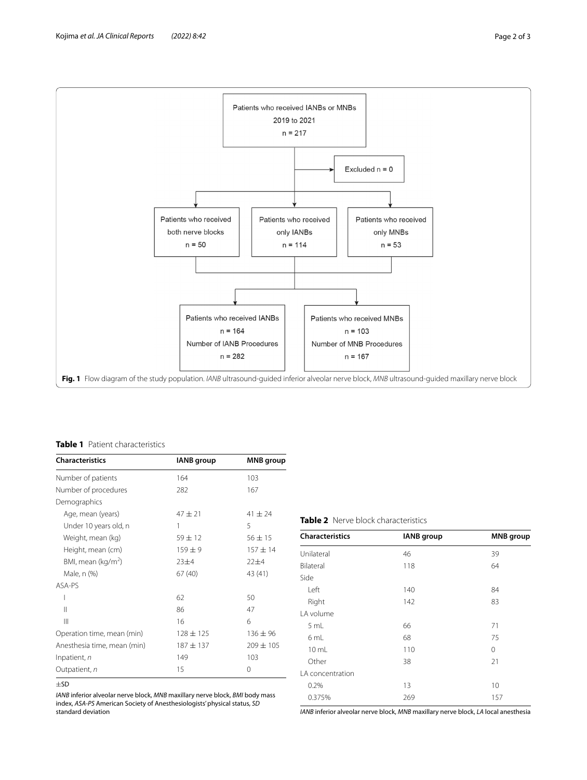

#### <span id="page-1-1"></span><span id="page-1-0"></span>**Table 1** Patient characteristics

| <b>Characteristics</b>         | <b>IANB</b> group | <b>MNB</b> group |
|--------------------------------|-------------------|------------------|
| Number of patients             | 164               | 103              |
| Number of procedures           | 282               | 167              |
| Demographics                   |                   |                  |
| Age, mean (years)              | $47 + 21$         | $41 + 24$        |
| Under 10 years old, n          | 1                 | 5                |
| Weight, mean (kg)              | $59 \pm 12$       | $56 \pm 15$      |
| Height, mean (cm)              | $159 + 9$         | $157 + 14$       |
| BMI, mean (kg/m <sup>2</sup> ) | 23±4              | $22+4$           |
| Male, n (%)                    | 67(40)            | 43 (41)          |
| ASA-PS                         |                   |                  |
| I                              | 62                | 50               |
| $\mathsf{II}$                  | 86                | 47               |
| Ш                              | 16                | 6                |
| Operation time, mean (min)     | $128 \pm 125$     | $136 \pm 96$     |
| Anesthesia time, mean (min)    | $187 + 137$       | $209 \pm 105$    |
| Inpatient, n                   | 149               | 103              |
| Outpatient, n                  | 15                | 0                |

<sup>±</sup>SD

*IANB* inferior alveolar nerve block, *MNB* maxillary nerve block, *BMI* body mass index, *ASA-PS* American Society of Anesthesiologists' physical status, *SD* standard deviation

### <span id="page-1-2"></span>**Table 2** Nerve block characteristics

| <b>Characteristics</b> | <b>IANB</b> group | <b>MNB</b> group |
|------------------------|-------------------|------------------|
| Unilateral             | 46                | 39               |
| Bilateral              | 118               | 64               |
| Side                   |                   |                  |
| Left                   | 140               | 84               |
| Right                  | 142               | 83               |
| LA volume              |                   |                  |
| 5 mL                   | 66                | 71               |
| 6 mL                   | 68                | 75               |
| $10 \mathrm{m}$ L      | 110               | 0                |
| Other                  | 38                | 21               |
| LA concentration       |                   |                  |
| 0.2%                   | 13                | 10               |
| 0.375%                 | 269               | 157              |

*IANB* inferior alveolar nerve block, *MNB* maxillary nerve block, *LA* local anesthesia